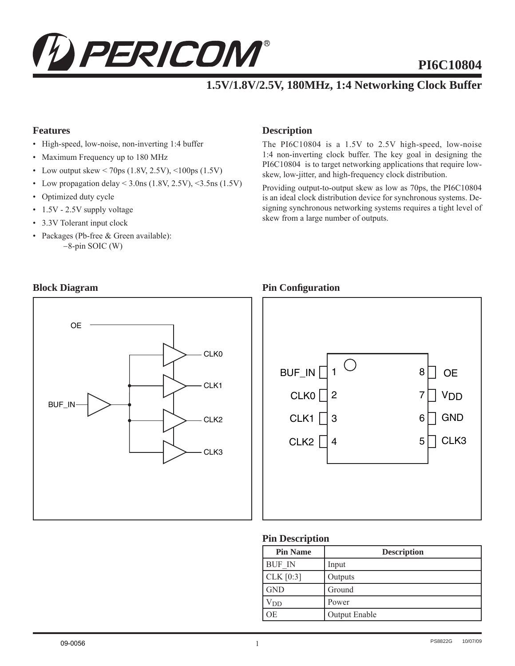

# **PI6C10804**

# **1.5V/1.8V/2.5V, 180MHz, 1:4 Networking Clock Buffer**

#### **Features**

- High-speed, low-noise, non-inverting 1:4 buffer
- Maximum Frequency up to 180 MHz
- Low output skew < 70ps  $(1.8V, 2.5V),$  < 100ps  $(1.5V)$
- Low propagation delay <  $3.0$ ns (1.8V, 2.5V), < $3.5$ ns (1.5V)
- Optimized duty cycle
- 1.5V 2.5V supply voltage
- 3.3V Tolerant input clock
- Packages (Pb-free & Green available): −8-pin SOIC (W)

#### **Description**

The PI6C10804 is a 1.5V to 2.5V high-speed, low-noise 1:4 non-inverting clock buffer. The key goal in designing the PI6C10804 is to target networking applications that require lowskew, low-jitter, and high-frequency clock distribution.

Providing output-to-output skew as low as 70ps, the PI6C10804 is an ideal clock distribution device for synchronous systems. Designing synchronous networking systems requires a tight level of skew from a large number of outputs.

#### **Block Diagram Pin Configuration**





#### **Pin Description**

| <b>Pin Name</b> | <b>Description</b> |
|-----------------|--------------------|
| <b>BUF IN</b>   | Input              |
| CLK [0:3]       | Outputs            |
| l GND           | Ground             |
| $V_{DD}$        | Power              |
| <b>OE</b>       | Output Enable      |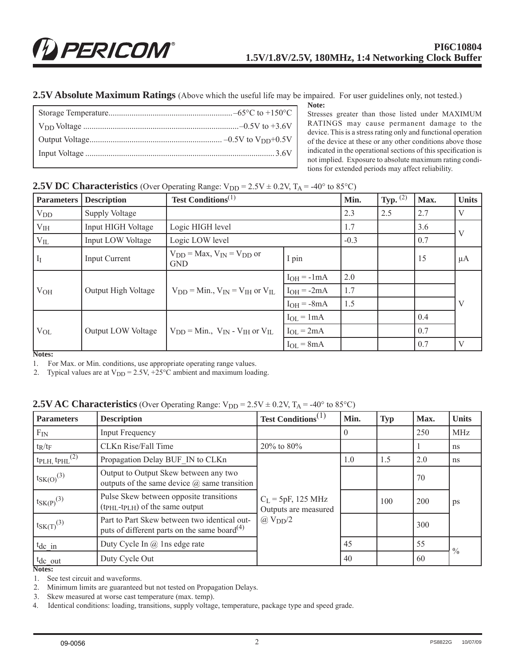**2.5V Absolute Maximum Ratings** (Above which the useful life may be impaired. For user guidelines only, not tested.)

**Note:** Stresses greater than those listed under MAXIMUM RATINGS may cause permanent damage to the device. This is a stress rating only and functional operation of the device at these or any other conditions above those indicated in the operational sections of this specification is not implied. Exposure to absolute maximum rating conditions for extended periods may affect reliability.

#### **2.5V DC Characteristics** (Over Operating Range:  $V_{DD} = 2.5V \pm 0.2V$ ,  $T_A = -40^{\circ}$  to 85°C)

| <b>Parameters</b> | <b>Description</b>  | <b>Test Conditions</b> <sup><math>(1)</math></sup>   |                 | Min. | <b>Typ.</b> $^{(2)}$ | Max. | <b>Units</b> |
|-------------------|---------------------|------------------------------------------------------|-----------------|------|----------------------|------|--------------|
| $V_{DD}$          | Supply Voltage      |                                                      |                 | 2.3  | 2.5                  | 2.7  | V            |
| V <sub>IH</sub>   | Input HIGH Voltage  | Logic HIGH level                                     |                 | 1.7  |                      | 3.6  | V            |
| $V_{IL}$          | Input LOW Voltage   | Logic LOW level                                      |                 |      |                      | 0.7  |              |
| $I_I$             | Input Current       | $V_{DD}$ = Max, $V_{IN}$ = $V_{DD}$ or<br><b>GND</b> | I pin           |      |                      | 15   | $\mu A$      |
|                   | Output High Voltage | $V_{DD}$ = Min., $V_{IN}$ = $V_{IH}$ or $V_{IL}$     | $I_{OH} = -1mA$ | 2.0  |                      |      |              |
| V <sub>OH</sub>   |                     |                                                      | $IOH = -2mA$    | 1.7  |                      |      |              |
|                   |                     |                                                      | $I_{OH} = -8mA$ | 1.5  |                      |      | V            |
|                   |                     | $V_{DD}$ = Min., $V_{IN}$ - $V_{IH}$ or $V_{IL}$     | $I_{OL} = 1mA$  |      |                      | 0.4  |              |
| $V_{OL}$          | Output LOW Voltage  |                                                      | $I_{OL} = 2mA$  |      |                      | 0.7  |              |
|                   |                     |                                                      | $I_{OL} = 8mA$  |      |                      | 0.7  | V            |

**Notes:**

1. For Max. or Min. conditions, use appropriate operating range values.

2. Typical values are at  $V_{DD} = 2.5V$ , +25°C ambient and maximum loading.

#### **2.5V AC Characteristics** (Over Operating Range:  $V_{DD} = 2.5V \pm 0.2V$ ,  $T_A = -40^\circ$  to 85°C)

| <b>Parameters</b>               | <b>Description</b>                                                                                                               | Test Conditions <sup><math>(1)</math></sup>  | Min.     | <b>Typ</b> | Max. | <b>Units</b>  |
|---------------------------------|----------------------------------------------------------------------------------------------------------------------------------|----------------------------------------------|----------|------------|------|---------------|
| $F_{IN}$                        | <b>Input Frequency</b>                                                                                                           |                                              | $\Omega$ |            | 250  | <b>MHz</b>    |
| $t_R/t_F$                       | CLKn Rise/Fall Time                                                                                                              | 20% to 80%                                   |          |            |      | ns            |
| $t_{\rm PLH, t\rm PHL}{}^{(2)}$ | Propagation Delay BUF IN to CLKn                                                                                                 | 1.0                                          |          | 1.5        | 2.0  | ns            |
| $t_{SK(O)}^{(3)}$               | Output to Output Skew between any two<br>outputs of the same device $\omega$ same transition                                     |                                              |          |            | 70   |               |
| $t_{SK(P)}^{(3)}$               | Pulse Skew between opposite transitions<br>(t <sub>PHL</sub> -t <sub>PLH</sub> ) of the same output                              | $C_L$ = 5pF, 125 MHz<br>Outputs are measured |          | 100        | 200  | ps            |
| $t_{SK(T)}^{(3)}$               | $\omega$ V <sub>DD</sub> $/2$<br>Part to Part Skew between two identical out-<br>puts of different parts on the same board $(4)$ |                                              |          |            | 300  |               |
| $t_{dc}$ in                     | Duty Cycle In @ 1ns edge rate                                                                                                    |                                              | 45       |            | 55   |               |
| $t_{dc}$ out                    | Duty Cycle Out                                                                                                                   |                                              | 40       |            | 60   | $\frac{0}{0}$ |

**Notes:**

1. See test circuit and waveforms.

2. Minimum limits are guaranteed but not tested on Propagation Delays.

3. Skew measured at worse cast temperature (max. temp).

4. Identical conditions: loading, transitions, supply voltage, temperature, package type and speed grade.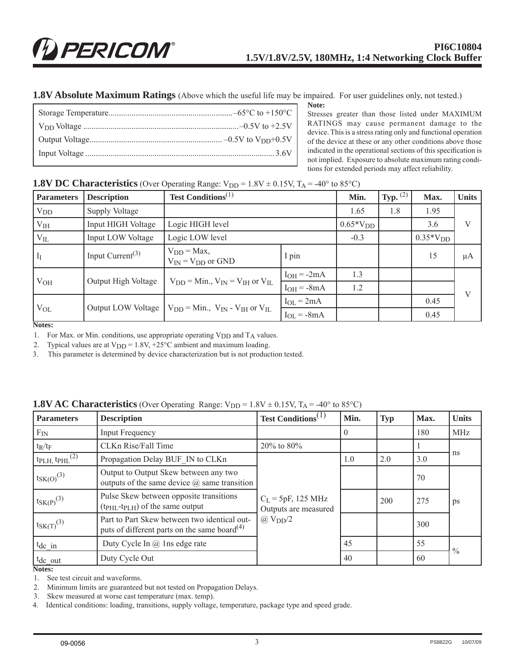**1.8V Absolute Maximum Ratings** (Above which the useful life may be impaired. For user guidelines only, not tested.)

|  | Note:<br>Stresses greater than those                                   |
|--|------------------------------------------------------------------------|
|  | RATINGS may cause per                                                  |
|  | device. This is a stress rating or<br>of the device at these or any of |
|  | indicated in the operational sec<br>not implied. Exposure to absol     |

listed under MAXIMUM manent damage to the nly and functional operation ther conditions above those tions of this specification is lute maximum rating conditions for extended periods may affect reliability.

#### **1.8V DC Characteristics** (Over Operating Range:  $V_{DD} = 1.8V \pm 0.15V$ ,  $T_A = -40^\circ$  to 85°C)

| <b>Parameters</b> | <b>Description</b>              | <b>Test Conditions</b> <sup>(1)</sup>                                 |                 |     | <b>Typ.</b> $^{(2)}$ | Max. | <b>Units</b> |
|-------------------|---------------------------------|-----------------------------------------------------------------------|-----------------|-----|----------------------|------|--------------|
| $V_{DD}$          | Supply Voltage                  |                                                                       |                 |     | 1.8                  | 1.95 |              |
| V <sub>IH</sub>   | Input HIGH Voltage              | Logic HIGH level                                                      |                 |     |                      | 3.6  | V            |
| $V_{IL}$          | Input LOW Voltage               | Logic LOW level                                                       | $-0.3$          |     | $0.35*V_{DD}$        |      |              |
| $I_I$             | Input Current <sup>(3)</sup>    | $V_{DD} = Max$ ,<br>$V_{IN} = V_{DD}$ or GND                          | I pin           |     |                      | 15   | μA           |
|                   | Output High Voltage<br>$V_{OH}$ |                                                                       | $I_{OH} = -2mA$ | 1.3 |                      |      |              |
|                   |                                 | $V_{DD}$ = Min., $V_{IN}$ = $V_{IH}$ or $V_{IL}$                      | $I_{OH} = -8mA$ | 1.2 |                      |      | V            |
| $V_{OL}$          |                                 | Output LOW Voltage   $V_{DD}$ = Min., $V_{IN}$ - $V_{IH}$ or $V_{IL}$ | $I_{OL} = 2mA$  |     |                      | 0.45 |              |
|                   |                                 |                                                                       | $I_{OL} = -8mA$ |     |                      | 0.45 |              |

**Notes:**

1. For Max. or Min. conditions, use appropriate operating  $V_{DD}$  and  $T_A$  values.

2. Typical values are at  $V_{DD} = 1.8V$ , +25°C ambient and maximum loading.

3. This parameter is determined by device characterization but is not production tested.

#### **1.8V AC Characteristics** (Over Operating Range:  $V_{DD} = 1.8V \pm 0.15V$ ,  $T_A = -40^{\circ}$  to 85<sup>o</sup>C)

| <b>Parameters</b>                                      | <b>Description</b>                                                                                                               | <b>Test Conditions</b> <sup>(1)</sup>        | Min.     | <b>Typ</b> | Max. | <b>Units</b>  |
|--------------------------------------------------------|----------------------------------------------------------------------------------------------------------------------------------|----------------------------------------------|----------|------------|------|---------------|
| $F_{IN}$                                               | <b>Input Frequency</b>                                                                                                           |                                              | $\theta$ |            | 180  | <b>MHz</b>    |
| $t_R/t_F$                                              | CLKn Rise/Fall Time                                                                                                              | 20% to 80%                                   |          |            |      |               |
| $t$ <sub>PLH</sub> , $t$ <sub>PHL</sub> <sup>(2)</sup> | Propagation Delay BUF IN to CLKn                                                                                                 | 1.0                                          |          | 2.0        | 3.0  | ns            |
| $t_{SK(O)}^{(3)}$                                      | Output to Output Skew between any two<br>outputs of the same device $\omega$ same transition                                     |                                              |          |            | 70   |               |
| $t_{SK(P)}^{(3)}$                                      | Pulse Skew between opposite transitions<br>(t <sub>PHL</sub> -t <sub>PLH</sub> ) of the same output                              | $C_L$ = 5pF, 125 MHz<br>Outputs are measured |          | 200        | 275  | ps            |
| $t_{SK(T)}^{(3)}$                                      | $\omega$ V <sub>DD</sub> $/2$<br>Part to Part Skew between two identical out-<br>puts of different parts on the same board $(4)$ |                                              |          |            | 300  |               |
| $tdc$ in                                               | Duty Cycle In @ 1ns edge rate                                                                                                    |                                              | 45       |            | 55   |               |
| $t_{dc}$ out                                           | Duty Cycle Out                                                                                                                   |                                              | 40       |            | 60   | $\frac{0}{0}$ |

**Notes:**

1. See test circuit and waveforms.

2. Minimum limits are guaranteed but not tested on Propagation Delays.

3. Skew measured at worse cast temperature (max. temp).

4. Identical conditions: loading, transitions, supply voltage, temperature, package type and speed grade.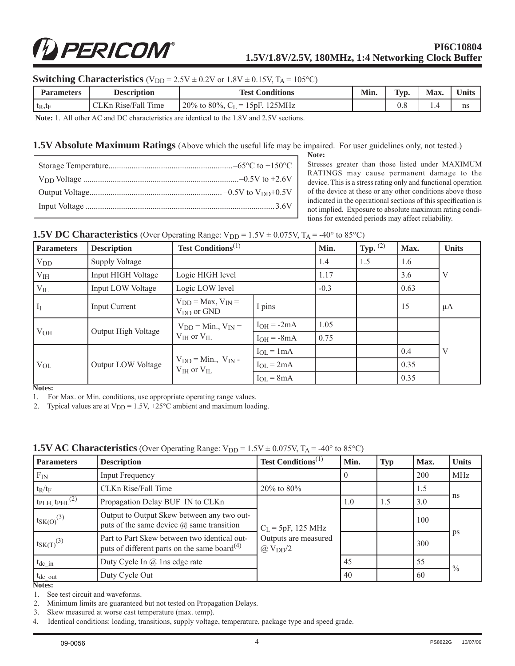# PERICOM®

#### **PI6C10804 1.5V/1.8V/2.5V, 180MHz, 1:4 Networking Clock Buffer**

#### **Switching Characteristics**  $(V_{DD} = 2.5V \pm 0.2V$  or  $1.8V \pm 0.15V$ ,  $T_A = 105^{\circ}C$ )

| <b>Parameters</b> | <b>Description</b>      | Min.<br><b>Test Conditions</b>          |  | Typ. | Max. | <b>Units</b> |
|-------------------|-------------------------|-----------------------------------------|--|------|------|--------------|
| $t_R, t_F$        | Rise/Fall Time<br>CL Kn | 20% to 80%, $C_{L}$<br>$= 15pF, 125MHz$ |  | v.c  |      | ns           |

**Note:** 1. All other AC and DC characteristics are identical to the 1.8V and 2.5V sections.

#### **1.5V Absolute Maximum Ratings** (Above which the useful life may be impaired. For user guidelines only, not tested.)

**Note:** Stresses greater than those listed under MAXIMUM RATINGS may cause permanent damage to the device. This is a stress rating only and functional operation of the device at these or any other conditions above those indicated in the operational sections of this specification is not implied. Exposure to absolute maximum rating conditions for extended periods may affect reliability.

| <b>Parameters</b> | <b>Description</b>    | <b>Test Conditions</b> <sup><math>(1)</math></sup>  |                 | Min.   | Typ. $(2)$ | Max. | <b>Units</b> |
|-------------------|-----------------------|-----------------------------------------------------|-----------------|--------|------------|------|--------------|
| $V_{DD}$          | <b>Supply Voltage</b> |                                                     |                 | 1.4    | 1.5        | 1.6  |              |
| V <sub>IH</sub>   | Input HIGH Voltage    | Logic HIGH level                                    |                 | 1.17   |            | 3.6  |              |
| $\rm V_{\rm IL}$  | Input LOW Voltage     | Logic LOW level                                     |                 | $-0.3$ |            | 0.63 |              |
| $I_I$             | Input Current         | $V_{DD}$ = Max, $V_{IN}$ =<br>$V_{DD}$ or $GND$     | I pins          |        |            | 15   | $\mu A$      |
|                   | Output High Voltage   | $V_{DD}$ = Min., $V_{IN}$ =<br>$V_{HH}$ or $V_{HL}$ | $I_{OH} = -2mA$ | 1.05   |            |      |              |
| $V_{OH}$          |                       |                                                     | $I_{OH} = -8mA$ | 0.75   |            |      |              |
|                   | Output LOW Voltage    | $V_{DD}$ = Min., $V_{IN}$ -<br>$V_{IH}$ or $V_{IL}$ | $I_{OL} = 1mA$  |        |            | 0.4  |              |
| $V_{OL}$          |                       |                                                     | $I_{OL} = 2mA$  |        |            | 0.35 |              |
|                   |                       |                                                     | $I_{OL} = 8mA$  |        |            | 0.35 |              |

#### **1.5V DC Characteristics** (Over Operating Range:  $V_{DD} = 1.5V \pm 0.075V$ ,  $T_A = -40^\circ$  to 85<sup>o</sup>C)

**Notes:**

1. For Max. or Min. conditions, use appropriate operating range values.

2. Typical values are at  $V_{DD} = 1.5V$ , +25°C ambient and maximum loading.

| <b>Parameters</b>               | <b>Description</b>                                                                                                                                                                                       | <b>Test Conditions</b> <sup><math>(1)</math></sup> | Min. | <b>Typ</b> | Max. | <b>Units</b>  |
|---------------------------------|----------------------------------------------------------------------------------------------------------------------------------------------------------------------------------------------------------|----------------------------------------------------|------|------------|------|---------------|
| $F_{IN}$                        | <b>Input Frequency</b>                                                                                                                                                                                   |                                                    |      |            | 200  | <b>MHz</b>    |
| $t_R/t_F$                       | CLKn Rise/Fall Time                                                                                                                                                                                      | $20\%$ to $80\%$                                   |      |            | 1.5  |               |
| $t_{\rm PLH, t\rm PHL}{}^{(2)}$ | Propagation Delay BUF IN to CLKn                                                                                                                                                                         |                                                    | 1.0  | 1.5        | 3.0  | ns            |
| $t_{SK(O)}^{(3)}$               | Output to Output Skew between any two out-<br>puts of the same device $\omega$ same transition                                                                                                           | $C_L = 5pF, 125 MHz$                               |      |            | 100  |               |
| $t_{SK(T)}^{(3)}$               | Part to Part Skew between two identical out-<br>Outputs are measured<br>puts of different parts on the same board <sup>(4)</sup><br>$\omega$ V <sub>DD</sub> $/2$<br>Duty Cycle In @ 1ns edge rate<br>45 |                                                    |      |            | 300  | ps            |
| $t_{dc_in}$                     |                                                                                                                                                                                                          |                                                    |      |            | 55   | $\frac{0}{0}$ |
| $t_{\text{dc}\_\text{out}}$     | Duty Cycle Out                                                                                                                                                                                           |                                                    | 40   |            | 60   |               |

#### **1.5V AC Characteristics** (Over Operating Range:  $V_{DD} = 1.5V \pm 0.075V$ ,  $T_A = -40^{\circ}$  to 85<sup>o</sup>C)

**Notes:**

1. See test circuit and waveforms.

2. Minimum limits are guaranteed but not tested on Propagation Delays.

3. Skew measured at worse cast temperature (max. temp).

4. Identical conditions: loading, transitions, supply voltage, temperature, package type and speed grade.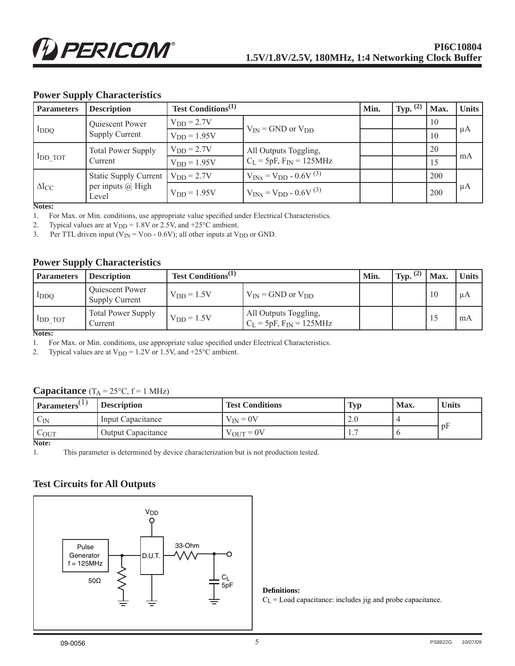#### **Power Supply Characteristics**

| <b>Parameters</b> | <b>Description</b>                   | Test Conditions <sup>(1)</sup> |                                 | Min. | Typ. | Max. | <b>Units</b> |
|-------------------|--------------------------------------|--------------------------------|---------------------------------|------|------|------|--------------|
| $I_{DDQ}$         | Quiescent Power                      | $V_{DD} = 2.7V$                | $V_{IN}$ = GND or $V_{DD}$      |      |      | 10   |              |
|                   | <b>Supply Current</b>                | $VDD = 1.95V$                  |                                 |      |      | 10   | μA           |
|                   | <b>Total Power Supply</b><br>Current | $V_{DD} = 2.7V$                | All Outputs Toggling,           |      |      | 20   |              |
| $I_{DD\_TOT}$     |                                      | $V_{DD} = 1.95V$               | $C_L$ = 5pF, $F_{IN}$ = 125MHz  |      |      | 15   | mA           |
| $\Delta I_{CC}$   | Static Supply Current                | $V_{DD} = 2.7V$                | $V_{INx} = V_{DD} - 0.6V^{(3)}$ |      |      | 200  |              |
|                   | per inputs @ High<br>Level           | $V_{DD} = 1.95V$               | $V_{INx} = V_{DD} - 0.6V^{(3)}$ |      |      | 200  | μA           |

**Notes:**

1. For Max. or Min. conditions, use appropriate value specified under Electrical Characteristics.

2. Typical values are at  $V_{DD} = 1.8V$  or 2.5V, and +25°C ambient.<br>3. Per TTL driven input ( $V_{IN} = V_{DD} - 0.6V$ ); all other inputs at V

Per TTL driven input ( $V_{IN} = V_{DD} - 0.6V$ ); all other inputs at  $V_{DD}$  or GND.

#### **Power Supply Characteristics**

| <b>Parameters</b>                    | <b>Description</b>                              | Test Conditions <sup>(1)</sup> |                                                         | Min. | (2)<br>Typ. | $^{\mathsf{T}}$ Max. | <b>Units</b> |
|--------------------------------------|-------------------------------------------------|--------------------------------|---------------------------------------------------------|------|-------------|----------------------|--------------|
| $1_{DDQ}$                            | <b>Oujescent Power</b><br><b>Supply Current</b> | $V_{DD} = 1.5V$                | $V_{IN}$ = GND or $V_{DD}$                              |      |             | 10                   | иA           |
| IDD TOT<br>$\mathbf{R}$ To a decoder | <b>Total Power Supply</b><br>Current            | $V_{DD} = 1.5V$                | All Outputs Toggling,<br>$C_L$ = 5pF, $F_{IN}$ = 125MHz |      |             |                      | mA           |

**Notes:**

1. For Max. or Min. conditions, use appropriate value specified under Electrical Characteristics.

2. Typical values are at  $V_{DD} = 1.2V$  or 1.5V, and +25°C ambient.

#### **Capacitance**  $(T_A = 25^{\circ}C, f = 1 \text{ MHz})$

| Parameters    | <b>Description</b>        | <b>Test Conditions</b> | <b>Typ</b> | Max. | <b>Units</b> |
|---------------|---------------------------|------------------------|------------|------|--------------|
| $C_{IN}$      | Input Capacitance         | $V_{IN} = 0V$          | $\sim$     |      |              |
| $C_{\rm OUT}$ | <b>Output Capacitance</b> | $V_{OUT} = 0V$         | .          |      | $\mathbf{D}$ |

**Note:**

1. This parameter is determined by device characterization but is not production tested.

#### **Test Circuits for All Outputs**



#### **Defi nitions:**

 $C_L$  = Load capacitance: includes jig and probe capacitance.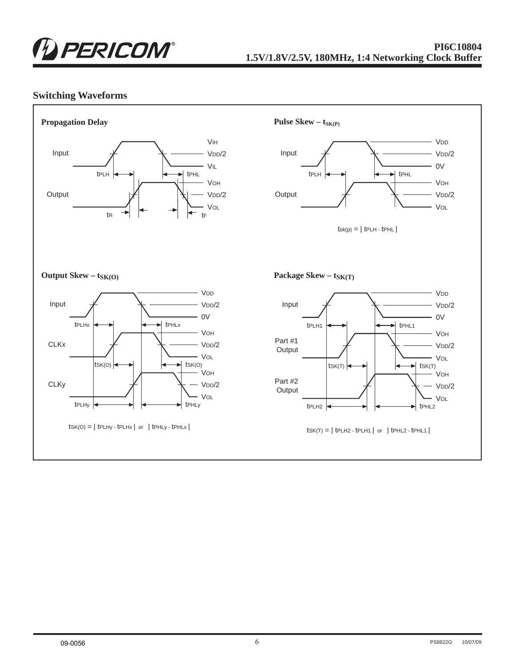

#### **PI6C10804 1.5V/1.8V/2.5V, 180MHz, 1:4 Networking Clock Buffer**

#### **Switching Waveforms**